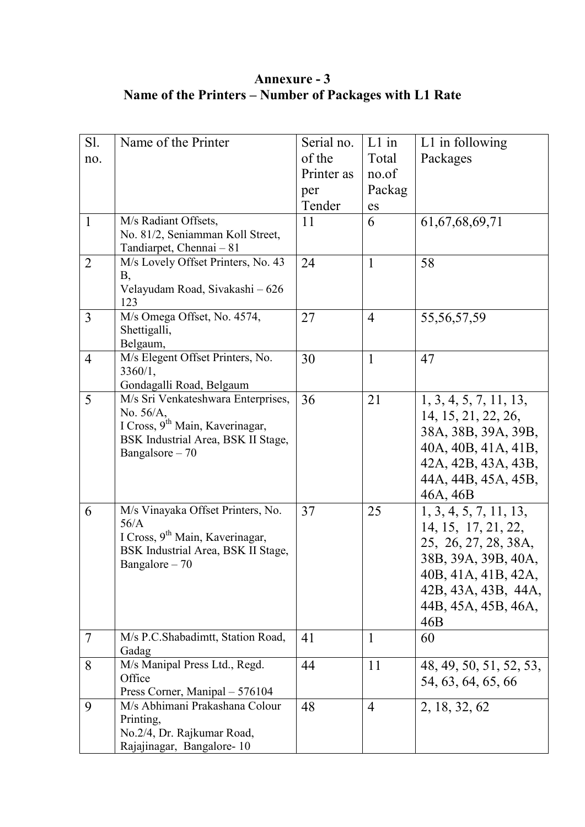## **Annexure - 3 Name of the Printers – Number of Packages with L1 Rate**

| Sl.            | Name of the Printer                                      | Serial no. | $L1$ in        | $L1$ in following       |
|----------------|----------------------------------------------------------|------------|----------------|-------------------------|
| no.            |                                                          | of the     | Total          | Packages                |
|                |                                                          | Printer as | no.of          |                         |
|                |                                                          | per        | Packag         |                         |
|                |                                                          | Tender     | es             |                         |
| $\mathbf{1}$   | M/s Radiant Offsets,                                     | 11         | 6              | 61, 67, 68, 69, 71      |
|                | No. 81/2, Seniamman Koll Street,                         |            |                |                         |
|                | Tandiarpet, Chennai - 81                                 |            |                |                         |
| $\overline{2}$ | M/s Lovely Offset Printers, No. 43                       | 24         | $\mathbf{1}$   | 58                      |
|                | Β,                                                       |            |                |                         |
|                | Velayudam Road, Sivakashi - 626<br>123                   |            |                |                         |
| 3              | M/s Omega Offset, No. 4574,                              | 27         | $\overline{4}$ | 55, 56, 57, 59          |
|                | Shettigalli,                                             |            |                |                         |
|                | Belgaum,                                                 |            |                |                         |
| $\overline{4}$ | M/s Elegent Offset Printers, No.                         | 30         | 1              | 47                      |
|                | 3360/1,                                                  |            |                |                         |
|                | Gondagalli Road, Belgaum                                 |            |                |                         |
| 5              | M/s Sri Venkateshwara Enterprises,                       | 36         | 21             | 1, 3, 4, 5, 7, 11, 13,  |
|                | No. 56/A,<br>I Cross, 9 <sup>th</sup> Main, Kaverinagar, |            |                | 14, 15, 21, 22, 26,     |
|                | BSK Industrial Area, BSK II Stage,                       |            |                | 38A, 38B, 39A, 39B,     |
|                | Bangalsore $-70$                                         |            |                | 40A, 40B, 41A, 41B,     |
|                |                                                          |            |                | 42A, 42B, 43A, 43B,     |
|                |                                                          |            |                | 44A, 44B, 45A, 45B,     |
|                |                                                          |            |                | 46A, 46B                |
| 6              | M/s Vinayaka Offset Printers, No.                        | 37         | 25             | 1, 3, 4, 5, 7, 11, 13,  |
|                | 56/A                                                     |            |                | 14, 15, 17, 21, 22,     |
|                | I Cross, 9 <sup>th</sup> Main, Kaverinagar,              |            |                | 25, 26, 27, 28, 38A,    |
|                | BSK Industrial Area, BSK II Stage,<br>Bangalore - 70     |            |                | 38B, 39A, 39B, 40A,     |
|                |                                                          |            |                | 40B, 41A, 41B, 42A,     |
|                |                                                          |            |                | 42B, 43A, 43B, 44A,     |
|                |                                                          |            |                | 44B, 45A, 45B, 46A,     |
|                |                                                          |            |                | 46B                     |
| $\overline{7}$ | M/s P.C.Shabadimtt, Station Road,                        | 41         | $\mathbf{1}$   | 60                      |
|                | Gadag                                                    |            |                |                         |
| 8              | M/s Manipal Press Ltd., Regd.                            | 44         | 11             | 48, 49, 50, 51, 52, 53, |
|                | Office                                                   |            |                | 54, 63, 64, 65, 66      |
|                | Press Corner, Manipal - 576104                           |            |                |                         |
| 9              | M/s Abhimani Prakashana Colour                           | 48         | 4              | 2, 18, 32, 62           |
|                | Printing,<br>No.2/4, Dr. Rajkumar Road,                  |            |                |                         |
|                | Rajajinagar, Bangalore-10                                |            |                |                         |